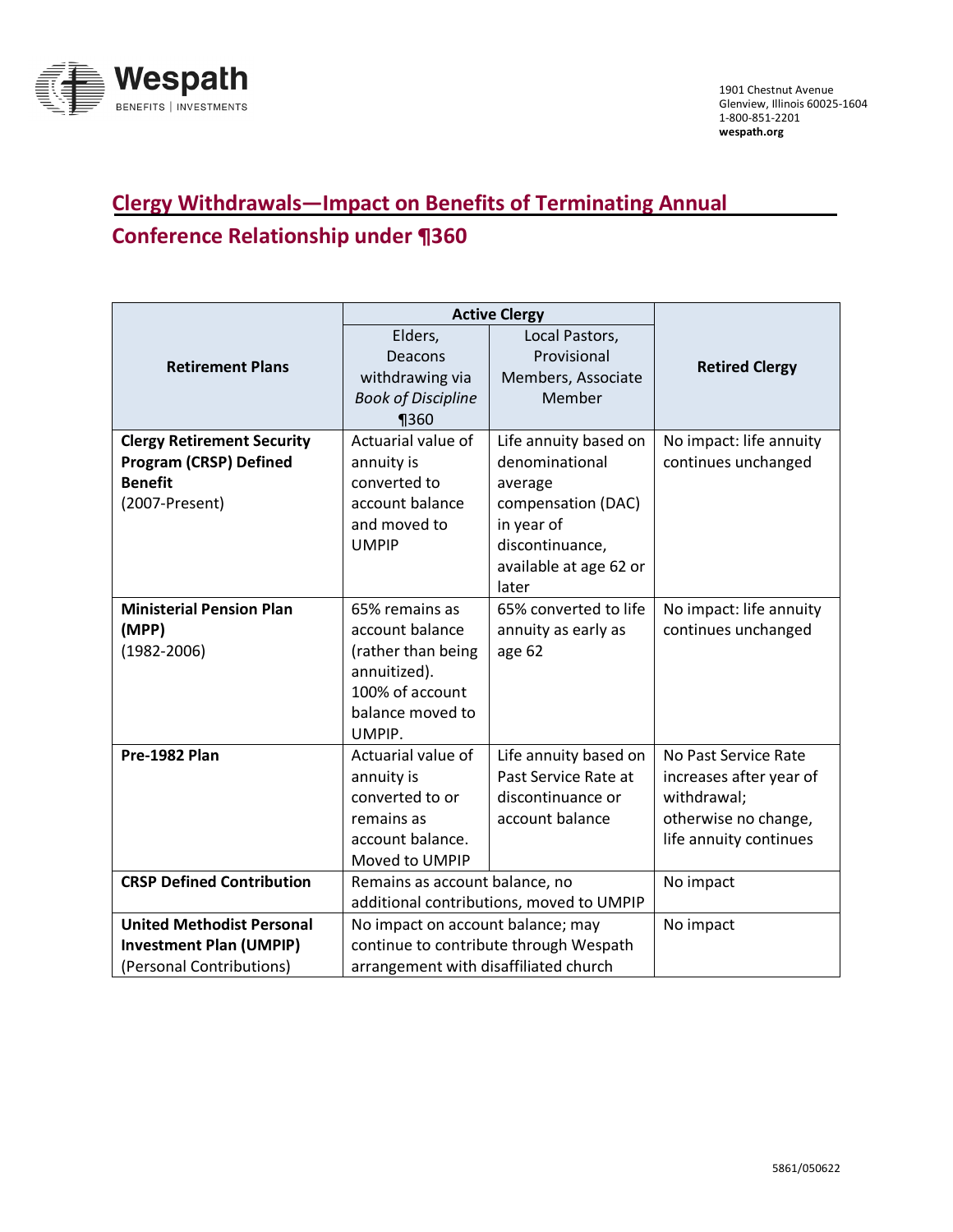

## **Clergy Withdrawals—Impact on Benefits of Terminating Annual Conference Relationship under ¶360**

|                                   | <b>Active Clergy</b>                     |                        |                         |
|-----------------------------------|------------------------------------------|------------------------|-------------------------|
| <b>Retirement Plans</b>           | Elders,                                  | Local Pastors,         |                         |
|                                   | Deacons                                  | Provisional            | <b>Retired Clergy</b>   |
|                                   | withdrawing via                          | Members, Associate     |                         |
|                                   | <b>Book of Discipline</b>                | Member                 |                         |
|                                   | $\P$ 360                                 |                        |                         |
| <b>Clergy Retirement Security</b> | Actuarial value of                       | Life annuity based on  | No impact: life annuity |
| <b>Program (CRSP) Defined</b>     | annuity is                               | denominational         | continues unchanged     |
| <b>Benefit</b>                    | converted to                             | average                |                         |
| (2007-Present)                    | account balance                          | compensation (DAC)     |                         |
|                                   | and moved to                             | in year of             |                         |
|                                   | <b>UMPIP</b>                             | discontinuance,        |                         |
|                                   |                                          | available at age 62 or |                         |
|                                   |                                          | later                  |                         |
| <b>Ministerial Pension Plan</b>   | 65% remains as                           | 65% converted to life  | No impact: life annuity |
| (MPP)                             | account balance                          | annuity as early as    | continues unchanged     |
| $(1982 - 2006)$                   | (rather than being                       | age 62                 |                         |
|                                   | annuitized).                             |                        |                         |
|                                   | 100% of account                          |                        |                         |
|                                   | balance moved to                         |                        |                         |
|                                   | UMPIP.                                   |                        |                         |
| Pre-1982 Plan                     | Actuarial value of                       | Life annuity based on  | No Past Service Rate    |
|                                   | annuity is                               | Past Service Rate at   | increases after year of |
|                                   | converted to or                          | discontinuance or      | withdrawal;             |
|                                   | remains as                               | account balance        | otherwise no change,    |
|                                   | account balance.                         |                        | life annuity continues  |
|                                   | Moved to UMPIP                           |                        |                         |
| <b>CRSP Defined Contribution</b>  | Remains as account balance, no           |                        | No impact               |
|                                   | additional contributions, moved to UMPIP |                        |                         |
| <b>United Methodist Personal</b>  | No impact on account balance; may        |                        | No impact               |
| <b>Investment Plan (UMPIP)</b>    | continue to contribute through Wespath   |                        |                         |
| (Personal Contributions)          | arrangement with disaffiliated church    |                        |                         |